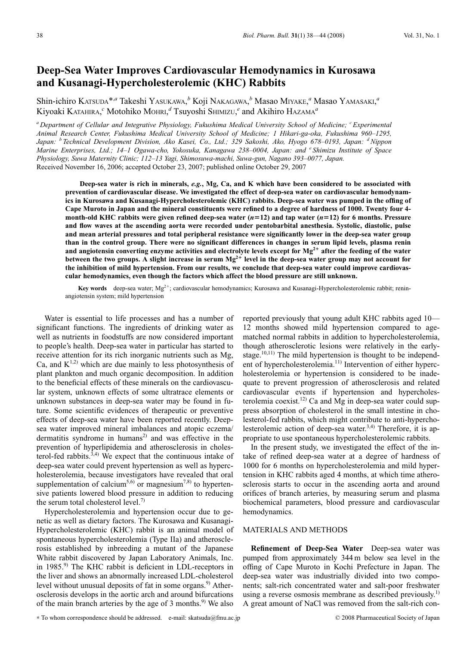# **Deep-Sea Water Improves Cardiovascular Hemodynamics in Kurosawa and Kusanagi-Hypercholesterolemic (KHC) Rabbits**

Shin-ichiro KATSUDA\*,*<sup>a</sup>* Takeshi YASUKAWA, *<sup>b</sup>* Koji NAKAGAWA, *<sup>b</sup>* Masao MIYAKE, *<sup>a</sup>* Masao YAMASAKI, *a* Kiyoaki KATAHIRA, *<sup>c</sup>* Motohiko MOHRI, *<sup>d</sup>* Tsuyoshi SHIMIZU, *<sup>e</sup>* and Akihiro HAZAMA*<sup>a</sup>*

*<sup>a</sup> Department of Cellular and Integrative Physiology, Fukushima Medical University School of Medicine; <sup>c</sup> Experimental Animal Research Center, Fukushima Medical University School of Medicine; 1 Hikari-ga-oka, Fukushima 960–1295, Japan: <sup>b</sup> Technical Development Division, Ako Kasei, Co., Ltd.; 329 Sakoshi, Ako, Hyogo 678–0193, Japan: dNippon Marine Enterprises, Ltd.; 14–1 Ogawa-cho, Yokosuka, Kanagawa 238–0004, Japan: and <sup>e</sup> Shimizu Institute of Space Physiology, Suwa Maternity Clinic; 112–13 Yagi, Shimosuwa-machi, Suwa-gun, Nagano 393–0077, Japan.* Received November 16, 2006; accepted October 23, 2007; published online October 29, 2007

**Deep-sea water is rich in minerals,** *e.g.***, Mg, Ca, and K which have been considered to be associated with prevention of cardiovascular disease. We investigated the effect of deep-sea water on cardiovascular hemodynamics in Kurosawa and Kusanagi-Hypercholesterolemic (KHC) rabbits. Deep-sea water was pumped in the offing of Cape Muroto in Japan and the mineral constituents were refined to a degree of hardness of 1000. Twenty four 4 month-old KHC rabbits were given refined deep-sea water (***n***12) and tap water (***n***12) for 6 months. Pressure and flow waves at the ascending aorta were recorded under pentobarbital anesthesia. Systolic, diastolic, pulse and mean arterial pressures and total peripheral resistance were significantly lower in the deep-sea water group than in the control group. There were no significant differences in changes in serum lipid levels, plasma renin** and angiotensin converting enzyme activities and electrolyte levels except for Mg<sup>2+</sup> after the feeding of the water **between the two groups. A slight increase in serum Mg2**- **level in the deep-sea water group may not account for the inhibition of mild hypertension. From our results, we conclude that deep-sea water could improve cardiovascular hemodynamics, even though the factors which affect the blood pressure are still unknown.**

**Key words** deep-sea water; Mg<sup>2+</sup>; cardiovascular hemodynamics; Kurosawa and Kusanagi-Hypercholesterolemic rabbit; reninangiotensin system; mild hypertension

Water is essential to life processes and has a number of significant functions. The ingredients of drinking water as well as nutrients in foodstuffs are now considered important to people's health. Deep-sea water in particular has started to receive attention for its rich inorganic nutrients such as Mg, Ca, and  $K^{1,2}$ ) which are due mainly to less photosynthesis of plant plankton and much organic decomposition. In addition to the beneficial effects of these minerals on the cardiovascular system, unknown effects of some ultratrace elements or unknown substances in deep-sea water may be found in future. Some scientific evidences of therapeutic or preventive effects of deep-sea water have been reported recently. Deepsea water improved mineral imbalances and atopic eczema/ dermatitis syndrome in humans<sup>2)</sup> and was effective in the prevention of hyperlipidemia and atherosclerosis in cholesterol-fed rabbits.<sup>3,4)</sup> We expect that the continuous intake of deep-sea water could prevent hypertension as well as hypercholesterolemia, because investigators have revealed that oral supplementation of calcium<sup>5,6)</sup> or magnesium<sup>7,8)</sup> to hypertensive patients lowered blood pressure in addition to reducing the serum total cholesterol level.<sup>7)</sup>

Hypercholesterolemia and hypertension occur due to genetic as well as dietary factors. The Kurosawa and Kusanagi-Hypercholesterolemic (KHC) rabbit is an animal model of spontaneous hypercholesterolemia (Type IIa) and atherosclerosis established by inbreeding a mutant of the Japanese White rabbit discovered by Japan Laboratory Animals, Inc. in 1985.<sup>9)</sup> The KHC rabbit is deficient in LDL-receptors in the liver and shows an abnormally increased LDL-cholesterol level without unusual deposits of fat in some organs.<sup>9)</sup> Atherosclerosis develops in the aortic arch and around bifurcations of the main branch arteries by the age of 3 months.<sup>9)</sup> We also

reported previously that young adult KHC rabbits aged 10— 12 months showed mild hypertension compared to agematched normal rabbits in addition to hypercholesterolemia, though atherosclerotic lesions were relatively in the earlystage.<sup>10,11)</sup> The mild hypertension is thought to be independent of hypercholesterolemia.<sup>11)</sup> Intervention of either hypercholesterolemia or hypertension is considered to be inadequate to prevent progression of atherosclerosis and related cardiovascular events if hypertension and hypercholesterolemia coexist.<sup>12)</sup> Ca and Mg in deep-sea water could suppress absorption of cholesterol in the small intestine in cholesterol-fed rabbits, which might contribute to anti-hypercholesterolemic action of deep-sea water.<sup>3,4)</sup> Therefore, it is appropriate to use spontaneous hypercholesterolemic rabbits.

In the present study, we investigated the effect of the intake of refined deep-sea water at a degree of hardness of 1000 for 6 months on hypercholesterolemia and mild hypertension in KHC rabbits aged 4 months, at which time atherosclerosis starts to occur in the ascending aorta and around orifices of branch arteries, by measuring serum and plasma biochemical parameters, blood pressure and cardiovascular hemodynamics.

## MATERIALS AND METHODS

**Refinement of Deep-Sea Water** Deep-sea water was pumped from approximately 344 m below sea level in the offing of Cape Muroto in Kochi Prefecture in Japan. The deep-sea water was industrially divided into two components; salt-rich concentrated water and salt-poor freshwater using a reverse osmosis membrane as described previously.<sup>1)</sup> A great amount of NaCl was removed from the salt-rich con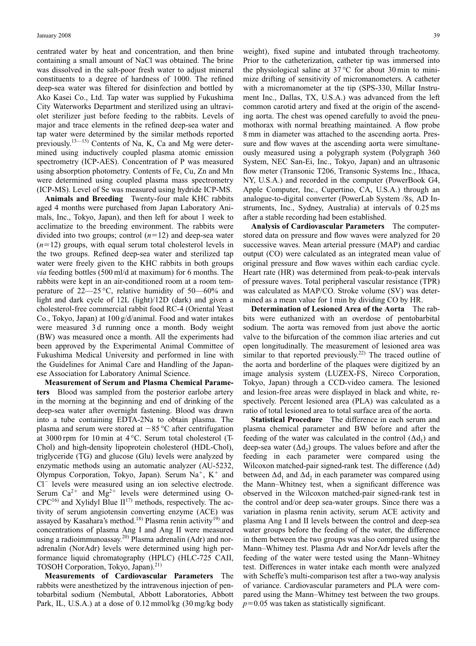centrated water by heat and concentration, and then brine containing a small amount of NaCl was obtained. The brine was dissolved in the salt-poor fresh water to adjust mineral constituents to a degree of hardness of 1000. The refined deep-sea water was filtered for disinfection and bottled by Ako Kasei Co., Ltd. Tap water was supplied by Fukushima City Waterworks Department and sterilized using an ultraviolet sterilizer just before feeding to the rabbits. Levels of major and trace elements in the refined deep-sea water and tap water were determined by the similar methods reported previously.13—15) Contents of Na, K, Ca and Mg were determined using inductively coupled plasma atomic emission spectrometry (ICP-AES). Concentration of P was measured using absorption photometry. Contents of Fe, Cu, Zn and Mn were determined using coupled plasma mass spectrometry (ICP-MS). Level of Se was measured using hydride ICP-MS.

**Animals and Breeding** Twenty-four male KHC rabbits aged 4 months were purchased from Japan Laboratory Animals, Inc., Tokyo, Japan), and then left for about 1 week to acclimatize to the breeding environment. The rabbits were divided into two groups; control  $(n=12)$  and deep-sea water  $(n=12)$  groups, with equal serum total cholesterol levels in the two groups. Refined deep-sea water and sterilized tap water were freely given to the KHC rabbits in both groups *via* feeding bottles (500 ml/d at maximum) for 6 months. The rabbits were kept in an air-conditioned room at a room temperature of 22—25 °C, relative humidity of 50—60% and light and dark cycle of 12L (light)/12D (dark) and given a cholesterol-free commercial rabbit food RC-4 (Oriental Yeast Co., Tokyo, Japan) at 100 g/d/animal. Food and water intakes were measured 3 d running once a month. Body weight (BW) was measured once a month. All the experiments had been approved by the Experimental Animal Committee of Fukushima Medical University and performed in line with the Guidelines for Animal Care and Handling of the Japanese Association for Laboratory Animal Science.

**Measurement of Serum and Plasma Chemical Parameters** Blood was sampled from the posterior earlobe artery in the morning at the beginning and end of drinking of the deep-sea water after overnight fastening. Blood was drawn into a tube containing EDTA-2Na to obtain plasma. The plasma and serum were stored at  $-85$  °C after centrifugation at 3000 rpm for 10 min at 4 °C. Serum total cholesterol (T-Chol) and high-density lipoprotein cholesterol (HDL-Chol), triglyceride (TG) and glucose (Glu) levels were analyzed by enzymatic methods using an automatic analyzer (AU-5232, Olympus Corporation, Tokyo, Japan). Serum  $Na<sup>+</sup>$ , K<sup>+</sup> and  $Cl^-$  levels were measured using an ion selective electrode. Serum  $Ca^{2+}$  and  $Mg^{2+}$  levels were determined using O- $CPC^{16}$  and Xylidyl Blue  $II^{17}$  methods, respectively. The activity of serum angiotensin converting enzyme (ACE) was assayed by Kasahara's method.<sup>18)</sup> Plasma renin activity<sup>19)</sup> and concentrations of plasma Ang I and Ang II were measured using a radioimmunoassay.<sup>20)</sup> Plasma adrenalin (Adr) and noradrenalin (NorAdr) levels were determined using high performance liquid chromatography (HPLC) (HLC-725 CAII, TOSOH Corporation, Tokyo, Japan).<sup>21)</sup>

**Measurements of Cardiovascular Parameters** The rabbits were anesthetized by the intravenous injection of pentobarbital sodium (Nembutal, Abbott Laboratories, Abbott Park, IL, U.S.A.) at a dose of 0.12 mmol/kg (30 mg/kg body weight), fixed supine and intubated through tracheotomy. Prior to the catheterization, catheter tip was immersed into the physiological saline at  $37^{\circ}$ C for about 30 min to minimize drifting of sensitivity of micromanometers. A catheter with a micromanometer at the tip (SPS-330, Millar Instrument Inc., Dallas, TX, U.S.A.) was advanced from the left common carotid artery and fixed at the origin of the ascending aorta. The chest was opened carefully to avoid the pneumothorax with normal breathing maintained. A flow probe 8 mm in diameter was attached to the ascending aorta. Pressure and flow waves at the ascending aorta were simultaneously measured using a polygraph system (Polygraph 360 System, NEC San-Ei, Inc., Tokyo, Japan) and an ultrasonic flow meter (Transonic T206, Transonic Systems Inc., Ithaca, NY, U.S.A.) and recorded in the computer (PowerBook G4, Apple Computer, Inc., Cupertino, CA, U.S.A.) through an analogue-to-digital converter (PowerLab System /8s, AD Instruments, Inc., Sydney, Australia) at intervals of 0.25 ms after a stable recording had been established.

**Analysis of Cardiovascular Parameters** The computerstored data on pressure and flow waves were analyzed for 20 successive waves. Mean arterial pressure (MAP) and cardiac output (CO) were calculated as an integrated mean value of original pressure and flow waves within each cardiac cycle. Heart rate (HR) was determined from peak-to-peak intervals of pressure waves. Total peripheral vascular resistance (TPR) was calculated as MAP/CO. Stroke volume (SV) was determined as a mean value for 1 min by dividing CO by HR.

**Determination of Lesioned Area of the Aorta** The rabbits were euthanized with an overdose of pentobarbital sodium. The aorta was removed from just above the aortic valve to the bifurcation of the common iliac arteries and cut open longitudinally. The measurement of lesioned area was similar to that reported previously.<sup>22)</sup> The traced outline of the aorta and borderline of the plaques were digitized by an image analysis system (LUZEX-FS, Nireco Corporation, Tokyo, Japan) through a CCD-video camera. The lesioned and lesion-free areas were displayed in black and white, respectively. Percent lesioned area (PLA) was calculated as a ratio of total lesioned area to total surface area of the aorta.

**Statistical Procedure** The difference in each serum and plasma chemical parameter and BW before and after the feeding of the water was calculated in the control  $(\Delta d_1)$  and deep-sea water  $(\Delta d_2)$  groups. The values before and after the feeding in each parameter were compared using the Wilcoxon matched-pair signed-rank test. The difference  $(\Delta d)$ between  $\Delta d_1$  and  $\Delta d_2$  in each parameter was compared using the Mann–Whitney test, when a significant difference was observed in the Wilcoxon matched-pair signed-rank test in the control and/or deep sea-water groups. Since there was a variation in plasma renin activity, serum ACE activity and plasma Ang I and II levels between the control and deep-sea water groups before the feeding of the water, the difference in them between the two groups was also compared using the Mann–Whitney test. Plasma Adr and NorAdr levels after the feeding of the water were tested using the Mann–Whitney test. Differences in water intake each month were analyzed with Scheffe's multi-comparison test after a two-way analysis of variance. Cardiovascular parameters and PLA were compared using the Mann–Whitney test between the two groups.  $p$ =0.05 was taken as statistically significant.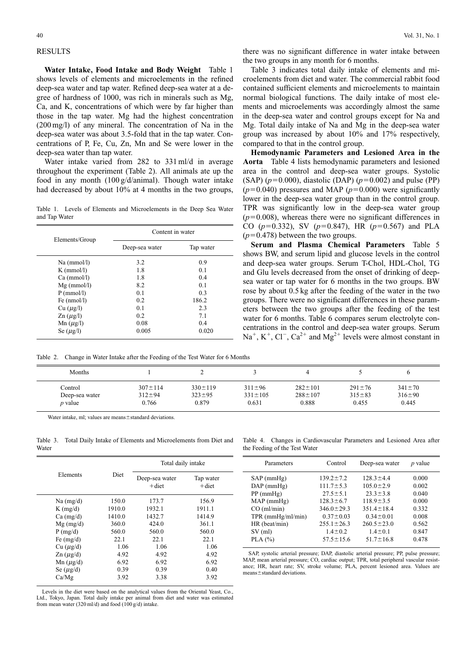## RESULTS

**Water Intake, Food Intake and Body Weight** Table 1 shows levels of elements and microelements in the refined deep-sea water and tap water. Refined deep-sea water at a degree of hardness of 1000, was rich in minerals such as Mg, Ca, and K, concentrations of which were by far higher than those in the tap water. Mg had the highest concentration (200 mg/l) of any mineral. The concentration of Na in the deep-sea water was about 3.5-fold that in the tap water. Concentrations of P, Fe, Cu, Zn, Mn and Se were lower in the deep-sea water than tap water.

Water intake varied from 282 to 331 ml/d in average throughout the experiment (Table 2). All animals ate up the food in any month (100 g/d/animal). Though water intake had decreased by about 10% at 4 months in the two groups,

Table 1. Levels of Elements and Microelements in the Deep Sea Water and Tap Water

|                             | Content in water |           |
|-----------------------------|------------------|-----------|
| Elements/Group              | Deep-sea water   | Tap water |
| Na (mmol/l)                 | 3.2              | 0.9       |
| $K$ (mmol/l)                | 1.8              | 0.1       |
| Ca (mmol/l)                 | 1.8              | 0.4       |
| $Mg$ (mmol/l)               | 8.2              | 0.1       |
| $P$ (mmol/l)                | 0.1              | 0.3       |
| Fe $(nmol/l)$               | 0.2              | 186.2     |
| Cu (µg/l)                   | 0.1              | 2.3       |
| $\text{Zn}(\mu \text{g/l})$ | 0.2              | 7.1       |
| Mn $(\mu$ g/l)              | 0.08             | 0.4       |
| Se $(\mu$ g/l)              | 0.005            | 0.020     |

Table 2. Change in Water Intake after the Feeding of the Test Water for 6 Months

there was no significant difference in water intake between the two groups in any month for 6 months.

Table 3 indicates total daily intake of elements and microelements from diet and water. The commercial rabbit food contained sufficient elements and microelements to maintain normal biological functions. The daily intake of most elements and microelements was accordingly almost the same in the deep-sea water and control groups except for Na and Mg. Total daily intake of Na and Mg in the deep-sea water group was increased by about 10% and 17% respectively, compared to that in the control group.

**Hemodynamic Parameters and Lesioned Area in the Aorta** Table 4 lists hemodynamic parameters and lesioned area in the control and deep-sea water groups. Systolic  $(SAP)$  ( $p=0.000$ ), diastolic (DAP) ( $p=0.002$ ) and pulse (PP)  $(p=0.040)$  pressures and MAP  $(p=0.000)$  were significantly lower in the deep-sea water group than in the control group. TPR was significantly low in the deep-sea water group  $(p=0.008)$ , whereas there were no significant differences in CO ( $p=0.332$ ), SV ( $p=0.847$ ), HR ( $p=0.567$ ) and PLA  $(p=0.478)$  between the two groups.

**Serum and Plasma Chemical Parameters** Table 5 shows BW, and serum lipid and glucose levels in the control and deep-sea water groups. Serum T-Chol, HDL-Chol, TG and Glu levels decreased from the onset of drinking of deepsea water or tap water for 6 months in the two groups. BW rose by about 0.5 kg after the feeding of the water in the two groups. There were no significant differences in these parameters between the two groups after the feeding of the test water for 6 months. Table 6 compares serum electrolyte concentrations in the control and deep-sea water groups. Serum  $Na^+$ , K<sup>+</sup>, Cl<sup>-</sup>, Ca<sup>2+</sup> and Mg<sup>2+</sup> levels were almost constant in

| Months         |               |               |               |               |              |              |
|----------------|---------------|---------------|---------------|---------------|--------------|--------------|
| Control        | $307 \pm 114$ | $330 \pm 119$ | $311 \pm 96$  | $282 \pm 101$ | $291 \pm 76$ | $341 \pm 70$ |
| Deep-sea water | $312 \pm 94$  | $323 \pm 95$  | $331 \pm 105$ | $288 \pm 107$ | $315 \pm 83$ | $316 \pm 90$ |
| <i>p</i> value | 0.766         | 0.879         | 0.631         | 0.888         | 0.455        | 0.445        |

Water intake, ml; values are means ± standard deviations.

Table 3. Total Daily Intake of Elements and Microelements from Diet and Water

|                             |        | Total daily intake         |                       |
|-----------------------------|--------|----------------------------|-----------------------|
| Elements                    | Diet   | Deep-sea water<br>$+$ diet | Tap water<br>$+$ diet |
| $Na$ (mg/d)                 | 150.0  | 173.7                      | 156.9                 |
| $K$ (mg/d)                  | 1910.0 | 1932.1                     | 1911.1                |
| $Ca \, (mg/d)$              | 1410.0 | 1432.7                     | 1414.9                |
| $Mg$ (mg/d)                 | 360.0  | 424.0                      | 361.1                 |
| P(mg/d)                     | 560.0  | 560.0                      | 560.0                 |
| Fe $(mg/d)$                 | 22.1   | 22.1                       | 22.1                  |
| Cu (µg/d)                   | 1.06   | 1.06                       | 1.06                  |
| $\text{Zn}(\mu \text{g/d})$ | 4.92   | 4.92                       | 4.92                  |
| Mn $(\mu$ g/d)              | 6.92   | 6.92                       | 6.92                  |
| Se $(\mu$ g/d)              | 0.39   | 0.39                       | 0.40                  |
| Ca/Mg                       | 3.92   | 3.38                       | 3.92                  |

Levels in the diet were based on the analytical values from the Oriental Yeast, Co., Ltd., Tokyo, Japan. Total daily intake per animal from diet and water was estimated from mean water (320 ml/d) and food (100 g/d) intake.

Table 4. Changes in Cardiovascular Parameters and Lesioned Area after the Feeding of the Test Water

| Parameters          | Control          | Deep-sea water   | $p$ value |
|---------------------|------------------|------------------|-----------|
| $SAP$ (mmHg)        | $139.2 \pm 7.2$  | $128.3 \pm 4.4$  | 0.000     |
| $DAP$ (mmHg)        | $111.7 \pm 5.3$  | $105.0 \pm 2.9$  | 0.002     |
| $PP$ (mmHg)         | $27.5 \pm 5.1$   | $23.3 \pm 3.8$   | 0.040     |
| MAP(mmHg)           | $128.3 \pm 6.7$  | $118.9 \pm 3.5$  | 0.000     |
| CO (ml/min)         | $346.0 \pm 29.3$ | $351.4 \pm 18.4$ | 0.332     |
| $TPR$ (mmHg/ml/min) | $0.37 \pm 0.03$  | $0.34 \pm 0.01$  | 0.008     |
| HR (beat/min)       | $255.1 \pm 26.3$ | $260.5 \pm 23.0$ | 0.562     |
| $SV$ (ml)           | $1.4 \pm 0.2$    | $1.4 \pm 0.1$    | 0.847     |
| PLA $(%)$           | $57.5 \pm 15.6$  | $51.7 \pm 16.8$  | 0.478     |
|                     |                  |                  |           |

SAP, systolic arterial pressure; DAP, diastolic arterial pressure; PP, pulse pressure; MAP, mean arterial pressure; CO, cardiac output; TPR, total peripheral vascular resistance; HR, heart rate; SV, stroke volume; PLA, percent lesioned area. Values are  $means \pm standard$  deviations.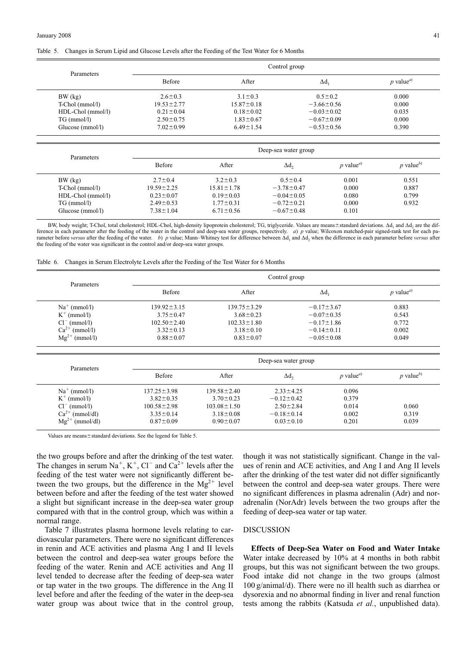#### Table 5. Changes in Serum Lipid and Glucose Levels after the Feeding of the Test Water for 6 Months

|                   |                  |                  | Control group        |                                                           |
|-------------------|------------------|------------------|----------------------|-----------------------------------------------------------|
| Parameters        | Before           | After            | $\Delta d_1$         | $p$ value <sup><i>a</i>)</sup>                            |
| BW (kg)           | $2.6 \pm 0.3$    | $3.1 \pm 0.3$    | $0.5 \pm 0.2$        | 0.000                                                     |
| T-Chol (mmol/l)   | $19.53 \pm 2.77$ | $15.87 \pm 0.18$ | $-3.66 \pm 0.56$     | 0.000                                                     |
| HDL-Chol (mmol/l) | $0.21 \pm 0.04$  | $0.18 \pm 0.02$  | $-0.03 \pm 0.02$     | 0.035                                                     |
| $TG \, (mmol/l)$  | $2.50 \pm 0.75$  | $1.83 \pm 0.67$  | $-0.67 \pm 0.09$     | 0.000                                                     |
| Glucose (mmol/l)  | $7.02 \pm 0.99$  | $6.49 \pm 1.54$  | $-0.53 \pm 0.56$     | 0.390                                                     |
| Parameters        |                  |                  | Deep-sea water group |                                                           |
|                   | Before           | After            | Δd,                  | $p$ value <sup>b)</sup><br>$p$ value <sup><i>a</i>)</sup> |

|                   | Before           | After            | Δd,              | <i>p</i> value <sup><i>a</i></sup> | p value <sup>o)</sup> |
|-------------------|------------------|------------------|------------------|------------------------------------|-----------------------|
| $BW$ $(kg)$       | $2.7 \pm 0.4$    | $3.2 \pm 0.3$    | $0.5 \pm 0.4$    | 0.001                              | 0.551                 |
| $T-Chol (mmol/l)$ | $19.59 \pm 2.25$ | $15.81 \pm 1.78$ | $-3.78 \pm 0.47$ | 0.000                              | 0.887                 |
| HDL-Chol (mmol/l) | $0.23 \pm 0.07$  | $0.19 \pm 0.03$  | $-0.04 \pm 0.05$ | 0.080                              | 0.799                 |
| $TG \, (mmol/l)$  | $2.49 \pm 0.53$  | $1.77 \pm 0.31$  | $-0.72 \pm 0.21$ | 0.000                              | 0.932                 |
| Glucose (mmol/l)  | $7.38 \pm 1.04$  | $6.71 \pm 0.56$  | $-0.67 \pm 0.48$ | 0.101                              |                       |
|                   |                  |                  |                  |                                    |                       |

BW, body weight; T-Chol, total cholesterol; HDL-Chol, high-density lipoprotein cholesterol; TG, triglyceride. Values are means±standard deviations.  $\Delta d_1$  and  $\Delta d_2$  are the difference in each parameter after the feeding of the water in the control and deep-sea water groups, respectively. a) p value; Wilcoxon matched-pair signed-rank test for each pa-<br>rameter before versus after the feeding of t the feeding of the water was significant in the control and/or deep-sea water groups.

|  | Table 6. Changes in Serum Electrolyte Levels after the Feeding of the Test Water for 6 Months |  |
|--|-----------------------------------------------------------------------------------------------|--|
|  |                                                                                               |  |

| Parameters          |                   |                   | Control group        |                                |                                |
|---------------------|-------------------|-------------------|----------------------|--------------------------------|--------------------------------|
|                     | <b>Before</b>     | After             |                      | $\Delta d_1$                   | $p$ value <sup><i>a</i>)</sup> |
| $Na^+$ (mmol/l)     | $139.92 \pm 3.15$ | $139.75 \pm 3.29$ |                      | $-0.17 \pm 3.67$               | 0.883                          |
| $K^+$ (mmol/l)      | $3.75 \pm 0.47$   | $3.68 \pm 0.23$   |                      | $-0.07 \pm 0.35$               | 0.543                          |
| $Cl^{-}$ (mmol/l)   | $102.50 \pm 2.40$ | $102.33 \pm 1.80$ |                      | $-0.17 \pm 1.86$               | 0.772                          |
| $Ca^{2+}$ (mmol/l)  | $3.32 \pm 0.13$   | $3.18 \pm 0.10$   |                      | $-0.14 \pm 0.11$               | 0.002                          |
| $Mg^{2+}$ (mmol/l)  | $0.88 \pm 0.07$   | $0.83 \pm 0.07$   |                      | $-0.05 \pm 0.08$               | 0.049                          |
|                     |                   |                   | Deep-sea water group |                                |                                |
| Parameters          | Before            | After             | $\Delta d$ ,         | $p$ value <sup><i>a</i>)</sup> | $p$ value <sup>b)</sup>        |
| $Na^+$ (mmol/l)     | $137.25 \pm 3.98$ | $139.58 \pm 2.40$ | $2.33 \pm 4.25$      | 0.096                          |                                |
| $K^+$ (mmol/l)      | $3.82 \pm 0.35$   | $3.70 \pm 0.23$   | $-0.12 \pm 0.42$     | 0.379                          |                                |
| $Cl^{-}$ (mmol/l)   | $100.58 \pm 2.98$ | $103.08 \pm 1.50$ | $2.50 \pm 2.84$      | 0.014                          | 0.060                          |
|                     |                   |                   | $-0.18 \pm 0.14$     | 0.002                          | 0.319                          |
| $Ca^{2+}$ (mmol/dl) | $3.35 \pm 0.14$   | $3.18 \pm 0.08$   |                      |                                |                                |

Values are means $\pm$ standard deviations. See the legend for Table 5.

the two groups before and after the drinking of the test water. The changes in serum  $Na^+$ ,  $K^+$ ,  $Cl^-$  and  $Ca^{2+}$  levels after the feeding of the test water were not significantly different between the two groups, but the difference in the  $Mg^{2+}$  level between before and after the feeding of the test water showed a slight but significant increase in the deep-sea water group compared with that in the control group, which was within a normal range.

Table 7 illustrates plasma hormone levels relating to cardiovascular parameters. There were no significant differences in renin and ACE activities and plasma Ang I and II levels between the control and deep-sea water groups before the feeding of the water. Renin and ACE activities and Ang II level tended to decrease after the feeding of deep-sea water or tap water in the two groups. The difference in the Ang II level before and after the feeding of the water in the deep-sea water group was about twice that in the control group,

though it was not statistically significant. Change in the values of renin and ACE activities, and Ang I and Ang II levels after the drinking of the test water did not differ significantly between the control and deep-sea water groups. There were no significant differences in plasma adrenalin (Adr) and noradrenalin (NorAdr) levels between the two groups after the feeding of deep-sea water or tap water.

### DISCUSSION

**Effects of Deep-Sea Water on Food and Water Intake** Water intake decreased by 10% at 4 months in both rabbit groups, but this was not significant between the two groups. Food intake did not change in the two groups (almost 100 g/animal/d). There were no ill health such as diarrhea or dysorexia and no abnormal finding in liver and renal function tests among the rabbits (Katsuda *et al.*, unpublished data).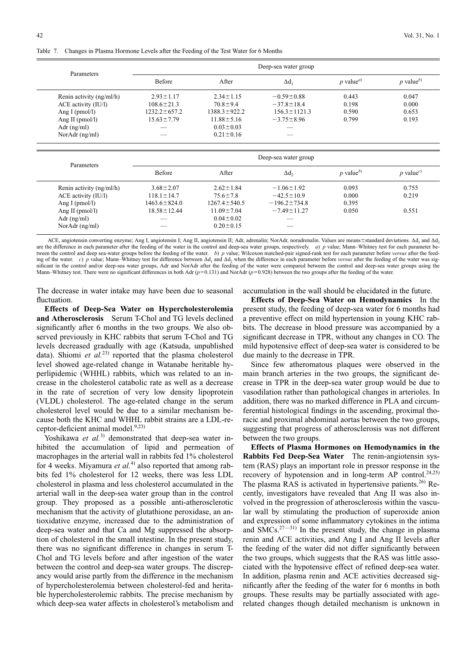Table 7. Changes in Plasma Hormone Levels after the Feeding of the Test Water for 6 Months

|                          |                    |                    | Deep-sea water group |                                |                         |
|--------------------------|--------------------|--------------------|----------------------|--------------------------------|-------------------------|
| Parameters               | <b>Before</b>      | After              | $\Delta d$           | $p$ value <sup><i>a</i>)</sup> | $p$ value <sup>b)</sup> |
| Renin activity (ng/ml/h) | $2.93 \pm 1.17$    | $2.34 \pm 1.15$    | $-0.59 \pm 0.88$     | 0.443                          | 0.047                   |
| ACE activity (IU/l)      | $108.6 \pm 21.3$   | $70.8 \pm 9.4$     | $-37.8 \pm 18.4$     | 0.198                          | 0.000                   |
| Ang I ( $pmol/l$ )       | $1232.2 \pm 657.2$ | $1388.3 \pm 922.2$ | $156.3 \pm 1121.3$   | 0.590                          | 0.653                   |
| Ang II ( $pmol/l$ )      | $15.63 \pm 7.79$   | $11.88 \pm 5.16$   | $-3.75 \pm 8.96$     | 0.799                          | 0.193                   |
| Adr $(ng/ml)$            | ___                | $0.03 \pm 0.03$    |                      |                                |                         |
| Nor $Adr$ (ng/ml)        | ___                | $0.21 \pm 0.16$    | ___                  |                                |                         |

|                          |                    |                    | Deep-sea water group |                                |  |
|--------------------------|--------------------|--------------------|----------------------|--------------------------------|--|
| Parameters               | Before             | After              | Δd,                  | $p$ value <sup><i>a</i>)</sup> |  |
| Renin activity (ng/ml/h) | $2.93 \pm 1.17$    | $2.34 \pm 1.15$    | $-0.59 \pm 0.88$     | 0.443                          |  |
| ACE activity (IU/l)      | $108.6 \pm 21.3$   | $70.8 \pm 9.4$     | $-37.8 \pm 18.4$     | 0.198                          |  |
| Ang I ( $pmol/l$ )       | $1232.2 \pm 657.2$ | $1388.3 \pm 922.2$ | $156.3 \pm 1121.3$   | 0.590                          |  |
| Ang II ( $pmol/l$ )      | $15.63 \pm 7.79$   | $11.88 \pm 5.16$   | $-3.75 \pm 8.96$     | 0.799                          |  |
| Adr $(ng/ml)$            |                    | $0.03 \pm 0.03$    |                      |                                |  |
| Nor $Adr$ (ng/ml)        |                    | $0.21 \pm 0.16$    |                      |                                |  |
|                          |                    |                    |                      |                                |  |

|                          |                    |                    | Deep-sea water group     |                       |                       |
|--------------------------|--------------------|--------------------|--------------------------|-----------------------|-----------------------|
| Parameters               | <b>Before</b>      | After              | Δd,                      | p value <sup>b)</sup> | p value <sup>c)</sup> |
| Renin activity (ng/ml/h) | $3.68 \pm 2.07$    | $2.62 \pm 1.84$    | $-1.06 \pm 1.92$         | 0.093                 | 0.755                 |
| ACE activity (IU/l)      | $118.1 \pm 14.7$   | $75.6 \pm 7.8$     | $-42.5 \pm 10.9$         | 0.000                 | 0.219                 |
| Ang I ( $pmol/l$ )       | $1463.6 \pm 824.0$ | $1267.4 \pm 540.5$ | $-196.2 \pm 734.8$       | 0.395                 |                       |
| Ang II ( $pmol/l$ )      | $18.58 \pm 12.44$  | $11.09 \pm 7.04$   | $-7.49 \pm 11.27$        | 0.050                 | 0.551                 |
| Adr $(ng/ml)$            | --                 | $0.04 \pm 0.02$    | $\overline{\phantom{a}}$ |                       |                       |
| Nor $Adr$ (ng/ml)        |                    | $0.20 \pm 0.15$    |                          |                       |                       |

ACE, angiotensin converting enzyme; Ang I, angiotensin I; Ang II, angiotensin II; Adr, adrenalin; NorAdr, noradrenalin. Values are means±standard deviations. Ad, and Ad, are the difference in each parameter after the feeding of the water in the control and deep-sea water groups, respectively. *a*) *p* value; Mann–Whitney test for each parameter between the control and deep sea-water groups before the feeding of the water. *b*) *p* value; Wilcoxon matched-pair signed-rank test for each parameter before *versus* after the feeding of the water. *c*) *p* value; Mann–Whitney test for difference between  $\Delta d_1$  and  $\Delta d_2$  when the difference in each parameter before *versus* after the feeding of the water was significant in the control and/or deep-sea water groups, Adr and NorAdr after the feeding of the water were compared between the control and deep-sea water groups using the Mann–Whitney test. There were no significant differences in both Adr ( $p=0.131$ ) and NorAdr ( $p=0.928$ ) between the two groups after the feeding of the water.

The decrease in water intake may have been due to seasonal fluctuation.

**Effects of Deep-Sea Water on Hypercholesterolemia and Atherosclerosis** Serum T-Chol and TG levels declined significantly after 6 months in the two groups. We also observed previously in KHC rabbits that serum T-Chol and TG levels decreased gradually with age (Katsuda, unpublished data). Shiomi *et al.*<sup>23)</sup> reported that the plasma cholesterol level showed age-related change in Watanabe heritable hyperlipidemic (WHHL) rabbits, which was related to an increase in the cholesterol catabolic rate as well as a decrease in the rate of secretion of very low density lipoprotein (VLDL) cholesterol. The age-related change in the serum cholesterol level would be due to a similar mechanism because both the KHC and WHHL rabbit strains are a LDL-receptor-deficient animal model.<sup>9,23)</sup>

Yoshikawa *et al.*<sup>3)</sup> demonstrated that deep-sea water inhibited the accumulation of lipid and permeation of macrophages in the arterial wall in rabbits fed 1% cholesterol for 4 weeks. Miyamura *et al.*4) also reported that among rabbits fed 1% cholesterol for 12 weeks, there was less LDL cholesterol in plasma and less cholesterol accumulated in the arterial wall in the deep-sea water group than in the control group. They proposed as a possible anti-atherosclerotic mechanism that the activity of glutathione peroxidase, an antioxidative enzyme, increased due to the administration of deep-sea water and that Ca and Mg suppressed the absorption of cholesterol in the small intestine. In the present study, there was no significant difference in changes in serum T-Chol and TG levels before and after ingestion of the water between the control and deep-sea water groups. The discrepancy would arise partly from the difference in the mechanism of hypercholesterolemia between cholesterol-fed and heritable hypercholesterolemic rabbits. The precise mechanism by which deep-sea water affects in cholesterol's metabolism and

accumulation in the wall should be elucidated in the future.

**Effects of Deep-Sea Water on Hemodynamics** In the present study, the feeding of deep-sea water for 6 months had a preventive effect on mild hypertension in young KHC rabbits. The decrease in blood pressure was accompanied by a significant decrease in TPR, without any changes in CO. The mild hypotensive effect of deep-sea water is considered to be due mainly to the decrease in TPR.

Since few atheromatous plaques were observed in the main branch arteries in the two groups, the significant decrease in TPR in the deep-sea water group would be due to vasodilation rather than pathological changes in arterioles. In addition, there was no marked difference in PLA and circumferential histological findings in the ascending, proximal thoracic and proximal abdominal aortas between the two groups, suggesting that progress of atherosclerosis was not different between the two groups.

**Effects of Plasma Hormones on Hemodynamics in the Rabbits Fed Deep-Sea Water** The renin-angiotensin system (RAS) plays an important role in pressor response in the recovery of hypotension and in long-term AP control.<sup>24,25)</sup> The plasma RAS is activated in hypertensive patients.<sup>26)</sup> Recently, investigators have revealed that Ang II was also involved in the progression of atherosclerosis within the vascular wall by stimulating the production of superoxide anion and expression of some inflammatory cytokines in the intima and  $\text{SMCs}^{27-31)}$  In the present study, the change in plasma renin and ACE activities, and Ang I and Ang II levels after the feeding of the water did not differ significantly between the two groups, which suggests that the RAS was little associated with the hypotensive effect of refined deep-sea water. In addition, plasma renin and ACE activities decreased significantly after the feeding of the water for 6 months in both groups. These results may be partially associated with agerelated changes though detailed mechanism is unknown in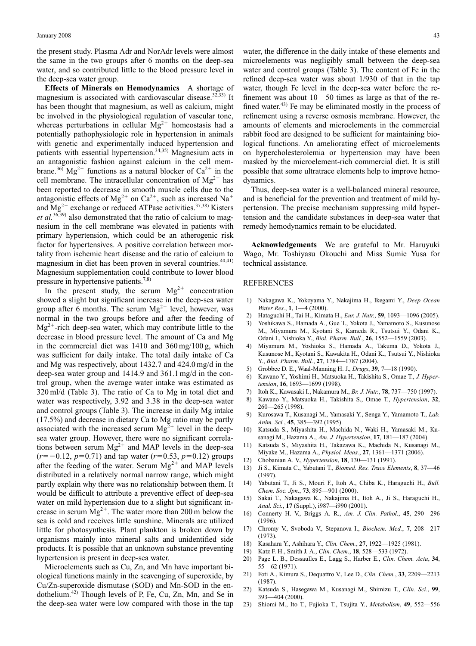the present study. Plasma Adr and NorAdr levels were almost the same in the two groups after 6 months on the deep-sea water, and so contributed little to the blood pressure level in the deep-sea water group.

**Effects of Minerals on Hemodynamics** A shortage of magnesium is associated with cardiovascular disease.<sup>32,33)</sup> It has been thought that magnesium, as well as calcium, might be involved in the physiological regulation of vascular tone, whereas perturbations in cellular  $Mg^{2+}$  homeostasis had a potentially pathophysiologic role in hypertension in animals with genetic and experimentally induced hypertension and patients with essential hypertension.<sup>34,35)</sup> Magnesium acts in an antagonistic fashion against calcium in the cell membrane.<sup>36)</sup> Mg<sup>2+</sup> functions as a natural blocker of Ca<sup>2+</sup> in the cell membrane. The intracellular concentration of  $Mg^{2+}$  has been reported to decrease in smooth muscle cells due to the antagonistic effects of  $Mg^{2+}$  on  $Ca^{2+}$ , such as increased Na<sup>+</sup> and  $Mg^{2+}$  exchange or reduced ATPase activities.<sup>37,38)</sup> Kisters *et al.*36,39) also demonstrated that the ratio of calcium to magnesium in the cell membrane was elevated in patients with primary hypertension, which could be an atherogenic risk factor for hypertensives. A positive correlation between mortality from ischemic heart disease and the ratio of calcium to magnesium in diet has been proven in several countries.<sup>40,41)</sup> Magnesium supplementation could contribute to lower blood pressure in hypertensive patients.<sup>7,8)</sup>

In the present study, the serum  $Mg^{2+}$  concentration showed a slight but significant increase in the deep-sea water group after 6 months. The serum  $Mg^{2+}$  level, however, was normal in the two groups before and after the feeding of  $Mg^{2+}$ -rich deep-sea water, which may contribute little to the decrease in blood pressure level. The amount of Ca and Mg in the commercial diet was 1410 and 360 mg/100 g, which was sufficient for daily intake. The total daily intake of Ca and Mg was respectively, about 1432.7 and 424.0 mg/d in the deep-sea water group and 1414.9 and 361.1 mg/d in the control group, when the average water intake was estimated as 320 ml/d (Table 3). The ratio of Ca to Mg in total diet and water was respectively, 3.92 and 3.38 in the deep-sea water and control groups (Table 3). The increase in daily Mg intake (17.5%) and decrease in dietary Ca to Mg ratio may be partly associated with the increased serum  $Mg^{2+}$  level in the deepsea water group. However, there were no significant correlations between serum  $Mg^{2+}$  and MAP levels in the deep-sea  $(r = -0.12, p = 0.71)$  and tap water  $(r = 0.53, p = 0.12)$  groups after the feeding of the water. Serum  $Mg^{2+}$  and MAP levels distributed in a relatively normal narrow range, which might partly explain why there was no relationship between them. It would be difficult to attribute a preventive effect of deep-sea water on mild hypertension due to a slight but significant increase in serum  $Mg^{2+}$ . The water more than 200 m below the sea is cold and receives little sunshine. Minerals are utilized little for photosynthesis. Plant plankton is broken down by organisms mainly into mineral salts and unidentified side products. It is possible that an unknown substance preventing hypertension is present in deep-sea water.

Microelements such as Cu, Zn, and Mn have important biological functions mainly in the scavenging of superoxide, by Cu/Zn-superoxide dismutase (SOD) and Mn-SOD in the endothelium.42) Though levels of P, Fe, Cu, Zn, Mn, and Se in the deep-sea water were low compared with those in the tap

water, the difference in the daily intake of these elements and microelements was negligibly small between the deep-sea water and control groups (Table 3). The content of Fe in the refined deep-sea water was about 1/930 of that in the tap water, though Fe level in the deep-sea water before the refinement was about 10—50 times as large as that of the refined water. $43$  Fe may be eliminated mostly in the process of refinement using a reverse osmosis membrane. However, the amounts of elements and microelements in the commercial rabbit food are designed to be sufficient for maintaining biological functions. An ameliorating effect of microelements on hypercholesterolemia or hypertension may have been masked by the microelement-rich commercial diet. It is still possible that some ultratrace elements help to improve hemodynamics.

Thus, deep-sea water is a well-balanced mineral resource, and is beneficial for the prevention and treatment of mild hypertension. The precise mechanism suppressing mild hypertension and the candidate substances in deep-sea water that remedy hemodynamics remain to be elucidated.

**Acknowledgements** We are grateful to Mr. Haruyuki Wago, Mr. Toshiyasu Okouchi and Miss Sumie Yusa for technical assistance.

#### REFERENCES

- 1) Nakagawa K., Yokoyama Y., Nakajima H., Ikegami Y., *Deep Ocean Water Res.*, **1**, 1—4 (2000).
- 2) Hataguchi H., Tai H., Kimata H., *Eur. J. Nutr.*, **59**, 1093—1096 (2005).
- 3) Yoshikawa S., Hamada A., Gue T., Yokota J., Yamamoto S., Kusunose M., Miyamura M., Kyotani S., Kameda R., Tsutsui Y., Odani K., Odani I., Nishioka Y., *Biol. Pharm. Bull.*, **26**, 1552—1559 (2003).
- 4) Miyamura M., Yoshioka S., Hamada A., Takuma D., Yokota J., Kusunose M., Kyotani S., Kawakita H., Odani K., Tsutsui Y., Nishioka Y., *Biol. Pharm. Bull.*, **27**, 1784—1787 (2004).
- 5) Grobbee D. E., Waal-Manning H. J., *Drugs*, **39**, 7—18 (1990).
- 6) Kawano Y., Yoshimi H., Matsuoka H., Takishita S., Omae T., *J. Hypertension*, **16**, 1693—1699 (1998).
- 7) Itoh K., Kawasaki I., Nakamura M., *Br. J. Nutr.*, **78**, 737—750 (1997).
- 8) Kawano Y., Matsuoka H., Takishita S., Omae T., *Hypertension*, **32**, 260—265 (1998).
- 9) Kurosawa T., Kusanagi M., Yamasaki Y., Senga Y., Yamamoto T., *Lab. Anim. Sci.*, **45**, 385—392 (1995).
- 10) Katsuda S., Miyashita H., Machida N., Waki H., Yamasaki M., Kusanagi M., Hazama A., *Am. J. Hypertension*, **17**, 181—187 (2004).
- 11) Katsuda S., Miyashita H., Takazawa K., Machida N., Kusanagi M., Miyake M., Hazama A., *Physiol. Meas.*, **27**, 1361—1371 (2006).
- 12) Chobanian A. V., *Hypertension*, **18**, 130—131 (1991).
- 13) Ji S., Kimata C., Yabutani T., *Biomed. Res. Trace Elements*, **8**, 37—46 (1997).
- 14) Yabutani T., Ji S., Mouri F., Itoh A., Chiba K., Haraguchi H., *Bull. Chem. Soc. Jpn.*, **73**, 895—901 (2000).
- 15) Sakai T., Nakagawa K., Nakajima H., Itoh A., Ji S., Haraguchi H., *Anal. Sci.*, **17** (Suppl.), i987—i990 (2001).
- 16) Connerty H. V., Briggs A. R., *Am. J. Clin. Pathol.*, **45**, 290—296 (1996).
- 17) Chromy V., Svoboda V., Stepanova I., *Biochem. Med.*, **7**, 208—217 (1973).
- 18) Kasahara Y., Ashihara Y., *Clin. Chem.*, **27**, 1922—1925 (1981).
- 19) Katz F. H., Smith J. A., *Clin. Chem.*, **18**, 528—533 (1972).
- 20) Page L. B., Dessaulles E., Lagg S., Harber E., *Clin. Chem. Acta*, **34**, 55—62 (1971).
- 21) Foti A., Kimura S., Dequattro V., Lee D., *Clin. Chem.*, **33**, 2209—2213 (1987).
- 22) Katsuda S., Hasegawa M., Kusanagi M., Shimizu T., *Clin. Sci.*, **99**, 393—404 (2000).
- 23) Shiomi M., Ito T., Fujioka T., Tsujita Y., *Metabolism*, **49**, 552—556